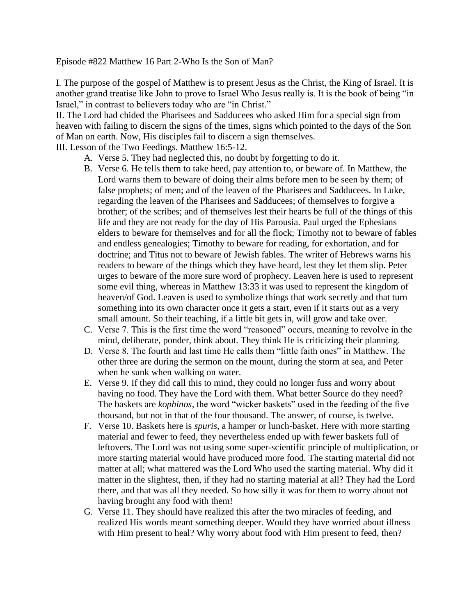Episode #822 Matthew 16 Part 2-Who Is the Son of Man?

I. The purpose of the gospel of Matthew is to present Jesus as the Christ, the King of Israel. It is another grand treatise like John to prove to Israel Who Jesus really is. It is the book of being "in Israel," in contrast to believers today who are "in Christ."

II. The Lord had chided the Pharisees and Sadducees who asked Him for a special sign from heaven with failing to discern the signs of the times, signs which pointed to the days of the Son of Man on earth. Now, His disciples fail to discern a sign themselves.

III. Lesson of the Two Feedings. Matthew 16:5-12.

- A. Verse 5. They had neglected this, no doubt by forgetting to do it.
- B. Verse 6. He tells them to take heed, pay attention to, or beware of. In Matthew, the Lord warns them to beware of doing their alms before men to be seen by them; of false prophets; of men; and of the leaven of the Pharisees and Sadducees. In Luke, regarding the leaven of the Pharisees and Sadducees; of themselves to forgive a brother; of the scribes; and of themselves lest their hearts be full of the things of this life and they are not ready for the day of His Parousia. Paul urged the Ephesians elders to beware for themselves and for all the flock; Timothy not to beware of fables and endless genealogies; Timothy to beware for reading, for exhortation, and for doctrine; and Titus not to beware of Jewish fables. The writer of Hebrews warns his readers to beware of the things which they have heard, lest they let them slip. Peter urges to beware of the more sure word of prophecy. Leaven here is used to represent some evil thing, whereas in Matthew 13:33 it was used to represent the kingdom of heaven/of God. Leaven is used to symbolize things that work secretly and that turn something into its own character once it gets a start, even if it starts out as a very small amount. So their teaching, if a little bit gets in, will grow and take over.
- C. Verse 7. This is the first time the word "reasoned" occurs, meaning to revolve in the mind, deliberate, ponder, think about. They think He is criticizing their planning.
- D. Verse 8. The fourth and last time He calls them "little faith ones" in Matthew. The other three are during the sermon on the mount, during the storm at sea, and Peter when he sunk when walking on water.
- E. Verse 9. If they did call this to mind, they could no longer fuss and worry about having no food. They have the Lord with them. What better Source do they need? The baskets are *kophinos*, the word "wicker baskets" used in the feeding of the five thousand, but not in that of the four thousand. The answer, of course, is twelve.
- F. Verse 10. Baskets here is *spuris*, a hamper or lunch-basket. Here with more starting material and fewer to feed, they nevertheless ended up with fewer baskets full of leftovers. The Lord was not using some super-scientific principle of multiplication, or more starting material would have produced more food. The starting material did not matter at all; what mattered was the Lord Who used the starting material. Why did it matter in the slightest, then, if they had no starting material at all? They had the Lord there, and that was all they needed. So how silly it was for them to worry about not having brought any food with them!
- G. Verse 11. They should have realized this after the two miracles of feeding, and realized His words meant something deeper. Would they have worried about illness with Him present to heal? Why worry about food with Him present to feed, then?